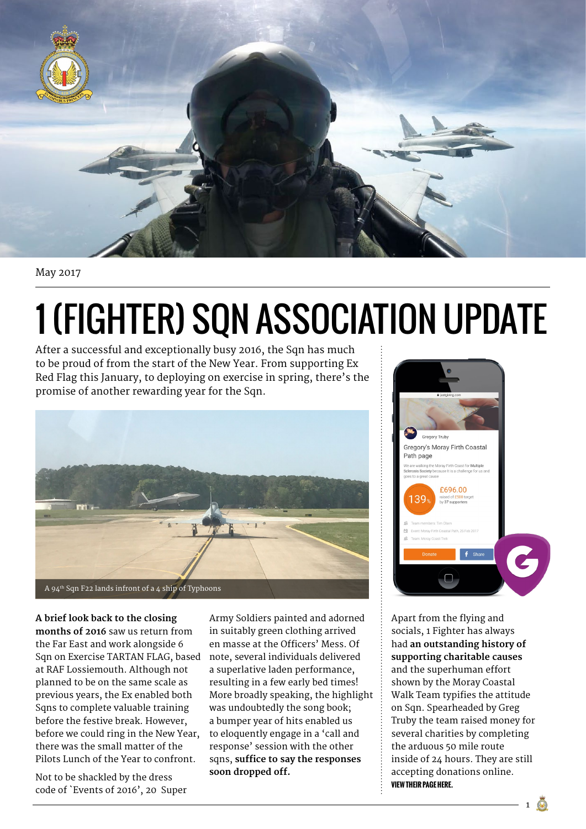

May 2017

## 1 (Fighter) Sqn Association Update

After a successful and exceptionally busy 2016, the Sqn has much to be proud of from the start of the New Year. From supporting Ex Red Flag this January, to deploying on exercise in spring, there's t[he](https://www.justgiving.com/fundraising/Gregory-Truby1)  promise of another rewarding year for the Sqn.



**A brief look back to the closing months of 2016** saw us return from the Far East and work alongside 6 Sqn on Exercise TARTAN FLAG, based at RAF Lossiemouth. Although not planned to be on the same scale as previous years, the Ex enabled both Sqns to complete valuable training before the festive break. However, before we could ring in the New Year, there was the small matter of the Pilots Lunch of the Year to confront.

Not to be shackled by the dress code of `Events of 2016', 20 Super

Army Soldiers painted and adorned in suitably green clothing arrived en masse at the Officers' Mess. Of note, several individuals delivered a superlative laden performance, resulting in a few early bed times! More broadly speaking, the highlight was undoubtedly the song book; a bumper year of hits enabled us to eloquently engage in a 'call and response' session with the other sqns, **suffice to say the responses soon dropped off.**



Apart from the flying and socials, 1 Fighter has always had **an outstanding history of supporting charitable causes**  and the superhuman effort shown by the Moray Coastal Walk Team typifies the attitude on Sqn. Spearheaded by Greg Truby the team raised money for several charities by completing the arduous 50 mile route inside of 24 hours. They are still accepting donations online. **[view their page here.](https://www.justgiving.com/fundraising/Gregory-Truby1)**

 $1 \circledcirc$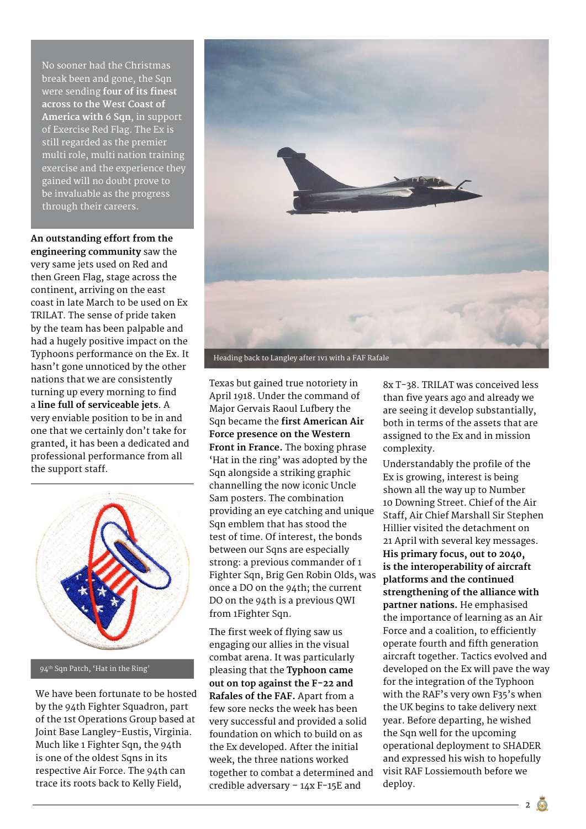No sooner had the Christmas break been and gone, the Sqn were sending **four of its finest across to the West Coast of America with 6 Sqn**, in support of Exercise Red Flag. The Ex is still regarded as the premier multi role, multi nation training exercise and the experience they gained will no doubt prove to be invaluable as the progress through their careers.

**An outstanding effort from the engineering community** saw the very same jets used on Red and then Green Flag, stage across the continent, arriving on the east coast in late March to be used on Ex TRILAT. The sense of pride taken by the team has been palpable and had a hugely positive impact on the Typhoons performance on the Ex. It hasn't gone unnoticed by the other nations that we are consistently turning up every morning to find a **line full of serviceable jets**. A very enviable position to be in and one that we certainly don't take for granted, it has been a dedicated and professional performance from all the support staff.



94th Sqn Patch, 'Hat in the Ring'

We have been fortunate to be hosted by the 94th Fighter Squadron, part of the 1st Operations Group based at Joint Base Langley-Eustis, Virginia. Much like 1 Fighter Sqn, the 94th is one of the oldest Sqns in its respective Air Force. The 94th can trace its roots back to Kelly Field,



Texas but gained true notoriety in April 1918. Under the command of Major Gervais Raoul Lufbery the Sqn became the **first American Air Force presence on the Western Front in France.** The boxing phrase 'Hat in the ring' was adopted by the Sqn alongside a striking graphic channelling the now iconic Uncle Sam posters. The combination providing an eye catching and unique Sqn emblem that has stood the test of time. Of interest, the bonds between our Sqns are especially strong: a previous commander of 1 Fighter Sqn, Brig Gen Robin Olds, was once a DO on the 94th; the current DO on the 94th is a previous QWI from 1Fighter Sqn.

The first week of flying saw us engaging our allies in the visual combat arena. It was particularly pleasing that the **Typhoon came out on top against the F-22 and Rafales of the FAF.** Apart from a few sore necks the week has been very successful and provided a solid foundation on which to build on as the Ex developed. After the initial week, the three nations worked together to combat a determined and credible adversary – 14x F-15E and

8x T-38. TRILAT was conceived less than five years ago and already we are seeing it develop substantially, both in terms of the assets that are assigned to the Ex and in mission complexity.

Understandably the profile of the Ex is growing, interest is being shown all the way up to Number 10 Downing Street. Chief of the Air Staff, Air Chief Marshall Sir Stephen Hillier visited the detachment on 21 April with several key messages. **His primary focus, out to 2040, is the interoperability of aircraft platforms and the continued strengthening of the alliance with partner nations.** He emphasised the importance of learning as an Air Force and a coalition, to efficiently operate fourth and fifth generation aircraft together. Tactics evolved and developed on the Ex will pave the way for the integration of the Typhoon with the RAF's very own F35's when the UK begins to take delivery next year. Before departing, he wished the Sqn well for the upcoming operational deployment to SHADER and expressed his wish to hopefully visit RAF Lossiemouth before we deploy.

 $2 \circ$